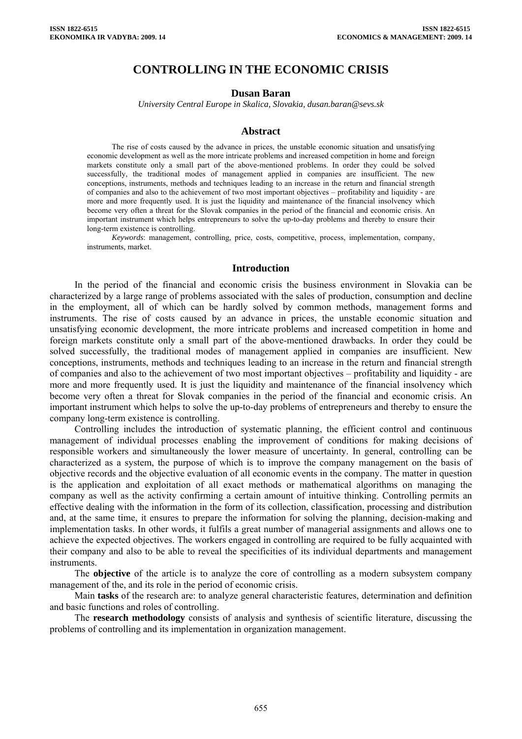# **CONTROLLING IN THE ECONOMIC CRISIS**

#### **Dusan Baran**

*University Central Europe in Skalica, Slovakia, dusan.baran@sevs.sk* 

#### **Abstract**

The rise of costs caused by the advance in prices, the unstable economic situation and unsatisfying economic development as well as the more intricate problems and increased competition in home and foreign markets constitute only a small part of the above-mentioned problems. In order they could be solved successfully, the traditional modes of management applied in companies are insufficient. The new conceptions, instruments, methods and techniques leading to an increase in the return and financial strength of companies and also to the achievement of two most important objectives – profitability and liquidity - are more and more frequently used. It is just the liquidity and maintenance of the financial insolvency which become very often a threat for the Slovak companies in the period of the financial and economic crisis. An important instrument which helps entrepreneurs to solve the up-to-day problems and thereby to ensure their long-term existence is controlling.

*Keywords*: management, controlling, price, costs, competitive, process, implementation, company, instruments, market.

### **Introduction**

In the period of the financial and economic crisis the business environment in Slovakia can be characterized by a large range of problems associated with the sales of production, consumption and decline in the employment, all of which can be hardly solved by common methods, management forms and instruments. The rise of costs caused by an advance in prices, the unstable economic situation and unsatisfying economic development, the more intricate problems and increased competition in home and foreign markets constitute only a small part of the above-mentioned drawbacks. In order they could be solved successfully, the traditional modes of management applied in companies are insufficient. New conceptions, instruments, methods and techniques leading to an increase in the return and financial strength of companies and also to the achievement of two most important objectives – profitability and liquidity - are more and more frequently used. It is just the liquidity and maintenance of the financial insolvency which become very often a threat for Slovak companies in the period of the financial and economic crisis. An important instrument which helps to solve the up-to-day problems of entrepreneurs and thereby to ensure the company long-term existence is controlling.

Controlling includes the introduction of systematic planning, the efficient control and continuous management of individual processes enabling the improvement of conditions for making decisions of responsible workers and simultaneously the lower measure of uncertainty. In general, controlling can be characterized as a system, the purpose of which is to improve the company management on the basis of objective records and the objective evaluation of all economic events in the company. The matter in question is the application and exploitation of all exact methods or mathematical algorithms on managing the company as well as the activity confirming a certain amount of intuitive thinking. Controlling permits an effective dealing with the information in the form of its collection, classification, processing and distribution and, at the same time, it ensures to prepare the information for solving the planning, decision-making and implementation tasks. In other words, it fulfils a great number of managerial assignments and allows one to achieve the expected objectives. The workers engaged in controlling are required to be fully acquainted with their company and also to be able to reveal the specificities of its individual departments and management instruments.

The **objective** of the article is to analyze the core of controlling as a modern subsystem company management of the, and its role in the period of economic crisis.

Main **tasks** of the research are: to analyze general characteristic features, determination and definition and basic functions and roles of controlling.

The **research methodology** consists of analysis and synthesis of scientific literature, discussing the problems of controlling and its implementation in organization management.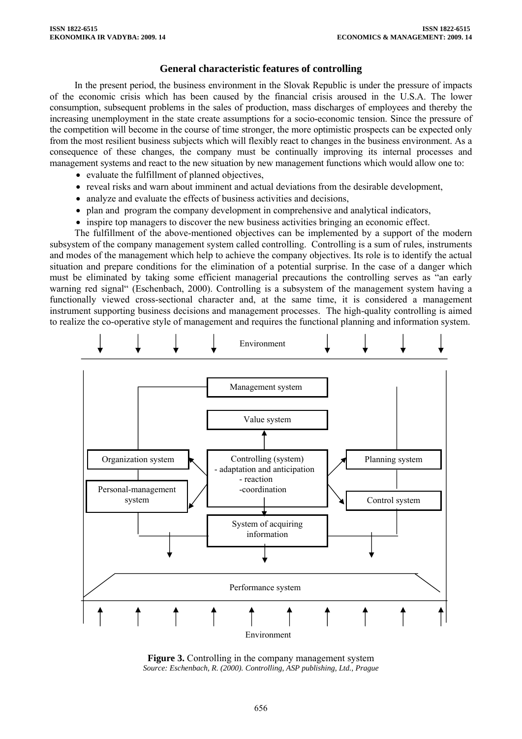## **General characteristic features of controlling**

In the present period, the business environment in the Slovak Republic is under the pressure of impacts of the economic crisis which has been caused by the financial crisis aroused in the U.S.A. The lower consumption, subsequent problems in the sales of production, mass discharges of employees and thereby the increasing unemployment in the state create assumptions for a socio-economic tension. Since the pressure of the competition will become in the course of time stronger, the more optimistic prospects can be expected only from the most resilient business subjects which will flexibly react to changes in the business environment. As a consequence of these changes, the company must be continually improving its internal processes and management systems and react to the new situation by new management functions which would allow one to:

- evaluate the fulfillment of planned objectives,
- reveal risks and warn about imminent and actual deviations from the desirable development,
- analyze and evaluate the effects of business activities and decisions,
- plan and program the company development in comprehensive and analytical indicators,
- inspire top managers to discover the new business activities bringing an economic effect.

The fulfillment of the above-mentioned objectives can be implemented by a support of the modern subsystem of the company management system called controlling. Controlling is a sum of rules, instruments and modes of the management which help to achieve the company objectives. Its role is to identify the actual situation and prepare conditions for the elimination of a potential surprise. In the case of a danger which must be eliminated by taking some efficient managerial precautions the controlling serves as "an early warning red signal" (Eschenbach, 2000). Controlling is a subsystem of the management system having a functionally viewed cross-sectional character and, at the same time, it is considered a management instrument supporting business decisions and management processes. The high-quality controlling is aimed to realize the co-operative style of management and requires the functional planning and information system.



**Figure 3.** Controlling in the company management system *Source: Eschenbach, R. (2000). Controlling, ASP publishing, Ltd., Prague*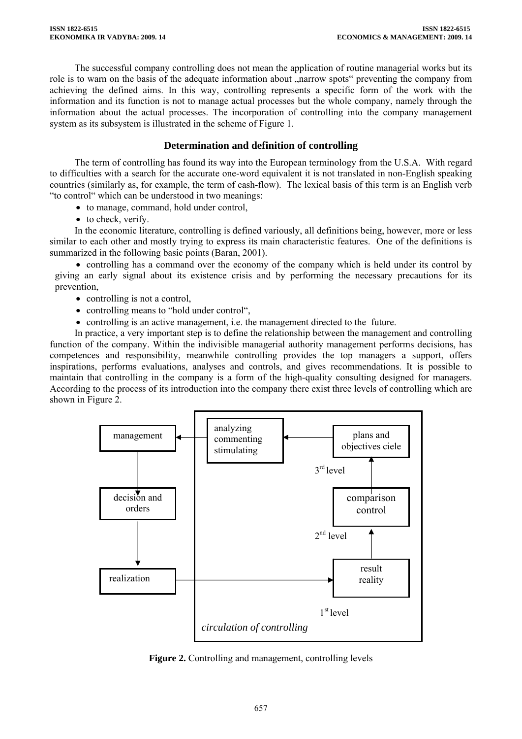The successful company controlling does not mean the application of routine managerial works but its role is to warn on the basis of the adequate information about "narrow spots" preventing the company from achieving the defined aims. In this way, controlling represents a specific form of the work with the information and its function is not to manage actual processes but the whole company, namely through the information about the actual processes. The incorporation of controlling into the company management system as its subsystem is illustrated in the scheme of Figure 1.

# **Determination and definition of controlling**

The term of controlling has found its way into the European terminology from the U.S.A. With regard to difficulties with a search for the accurate one-word equivalent it is not translated in non-English speaking countries (similarly as, for example, the term of cash-flow). The lexical basis of this term is an English verb "to control" which can be understood in two meanings:

- to manage, command, hold under control.
- to check, verify.

In the economic literature, controlling is defined variously, all definitions being, however, more or less similar to each other and mostly trying to express its main characteristic features. One of the definitions is summarized in the following basic points (Baran, 2001).

• controlling has a command over the economy of the company which is held under its control by giving an early signal about its existence crisis and by performing the necessary precautions for its prevention,

- controlling is not a control.
- controlling means to "hold under control",
- controlling is an active management, i.e. the management directed to the future.

In practice, a very important step is to define the relationship between the management and controlling function of the company. Within the indivisible managerial authority management performs decisions, has competences and responsibility, meanwhile controlling provides the top managers a support, offers inspirations, performs evaluations, analyses and controls, and gives recommendations. It is possible to maintain that controlling in the company is a form of the high-quality consulting designed for managers. According to the process of its introduction into the company there exist three levels of controlling which are shown in Figure 2.



**Figure 2.** Controlling and management, controlling levels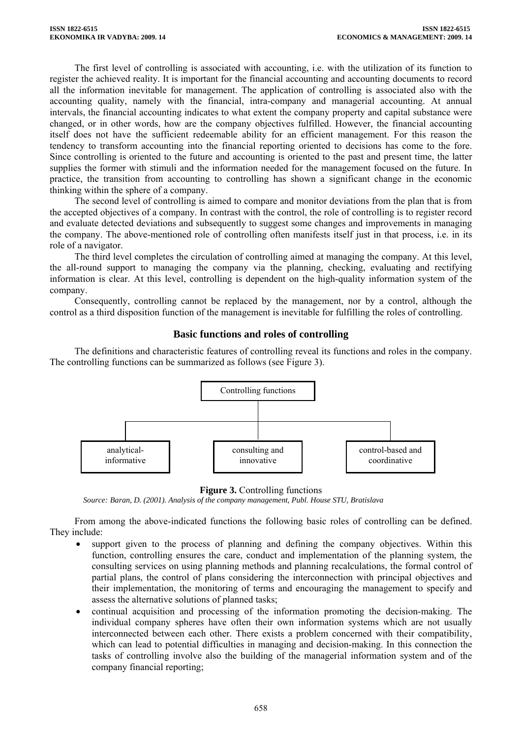The first level of controlling is associated with accounting, i.e. with the utilization of its function to register the achieved reality. It is important for the financial accounting and accounting documents to record all the information inevitable for management. The application of controlling is associated also with the accounting quality, namely with the financial, intra-company and managerial accounting. At annual intervals, the financial accounting indicates to what extent the company property and capital substance were changed, or in other words, how are the company objectives fulfilled. However, the financial accounting itself does not have the sufficient redeemable ability for an efficient management. For this reason the tendency to transform accounting into the financial reporting oriented to decisions has come to the fore. Since controlling is oriented to the future and accounting is oriented to the past and present time, the latter supplies the former with stimuli and the information needed for the management focused on the future. In practice, the transition from accounting to controlling has shown a significant change in the economic thinking within the sphere of a company.

The second level of controlling is aimed to compare and monitor deviations from the plan that is from the accepted objectives of a company. In contrast with the control, the role of controlling is to register record and evaluate detected deviations and subsequently to suggest some changes and improvements in managing the company. The above-mentioned role of controlling often manifests itself just in that process, i.e. in its role of a navigator.

The third level completes the circulation of controlling aimed at managing the company. At this level, the all-round support to managing the company via the planning, checking, evaluating and rectifying information is clear. At this level, controlling is dependent on the high-quality information system of the company.

Consequently, controlling cannot be replaced by the management, nor by a control, although the control as a third disposition function of the management is inevitable for fulfilling the roles of controlling.

## **Basic functions and roles of controlling**

The definitions and characteristic features of controlling reveal its functions and roles in the company. The controlling functions can be summarized as follows (see Figure 3).





 *Source: Baran, D. (2001). Analysis of the company management, Publ. House STU, Bratislava* 

From among the above-indicated functions the following basic roles of controlling can be defined. They include:

- support given to the process of planning and defining the company objectives. Within this function, controlling ensures the care, conduct and implementation of the planning system, the consulting services on using planning methods and planning recalculations, the formal control of partial plans, the control of plans considering the interconnection with principal objectives and their implementation, the monitoring of terms and encouraging the management to specify and assess the alternative solutions of planned tasks;
- continual acquisition and processing of the information promoting the decision-making. The individual company spheres have often their own information systems which are not usually interconnected between each other. There exists a problem concerned with their compatibility, which can lead to potential difficulties in managing and decision-making. In this connection the tasks of controlling involve also the building of the managerial information system and of the company financial reporting;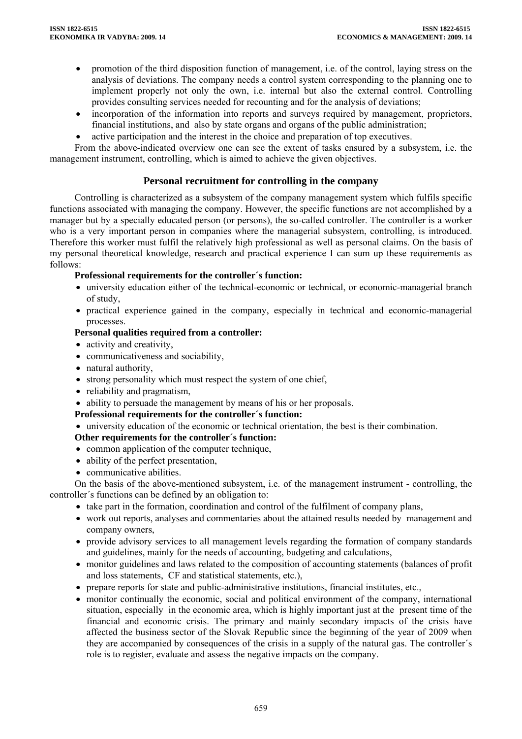- promotion of the third disposition function of management, i.e. of the control, laying stress on the analysis of deviations. The company needs a control system corresponding to the planning one to implement properly not only the own, i.e. internal but also the external control. Controlling provides consulting services needed for recounting and for the analysis of deviations;
- incorporation of the information into reports and surveys required by management, proprietors, financial institutions, and also by state organs and organs of the public administration;
- active participation and the interest in the choice and preparation of top executives.

From the above-indicated overview one can see the extent of tasks ensured by a subsystem, i.e. the management instrument, controlling, which is aimed to achieve the given objectives.

# **Personal recruitment for controlling in the company**

Controlling is characterized as a subsystem of the company management system which fulfils specific functions associated with managing the company. However, the specific functions are not accomplished by a manager but by a specially educated person (or persons), the so-called controller. The controller is a worker who is a very important person in companies where the managerial subsystem, controlling, is introduced. Therefore this worker must fulfil the relatively high professional as well as personal claims. On the basis of my personal theoretical knowledge, research and practical experience I can sum up these requirements as follows:

## **Professional requirements for the controller´s function:**

- university education either of the technical-economic or technical, or economic-managerial branch of study,
- practical experience gained in the company, especially in technical and economic-managerial processes.

## **Personal qualities required from a controller:**

- activity and creativity,
- communicativeness and sociability,
- natural authority,
- strong personality which must respect the system of one chief,
- reliability and pragmatism,
- ability to persuade the management by means of his or her proposals.

## **Professional requirements for the controller´s function:**

• university education of the economic or technical orientation, the best is their combination.

## **Other requirements for the controller´s function:**

- common application of the computer technique,
- ability of the perfect presentation,
- communicative abilities.

On the basis of the above-mentioned subsystem, i.e. of the management instrument - controlling, the controller´s functions can be defined by an obligation to:

- take part in the formation, coordination and control of the fulfilment of company plans,
- work out reports, analyses and commentaries about the attained results needed by management and company owners,
- provide advisory services to all management levels regarding the formation of company standards and guidelines, mainly for the needs of accounting, budgeting and calculations,
- monitor guidelines and laws related to the composition of accounting statements (balances of profit and loss statements, CF and statistical statements, etc.),
- prepare reports for state and public-administrative institutions, financial institutes, etc.,
- monitor continually the economic, social and political environment of the company, international situation, especially in the economic area, which is highly important just at the present time of the financial and economic crisis. The primary and mainly secondary impacts of the crisis have affected the business sector of the Slovak Republic since the beginning of the year of 2009 when they are accompanied by consequences of the crisis in a supply of the natural gas. The controller´s role is to register, evaluate and assess the negative impacts on the company.